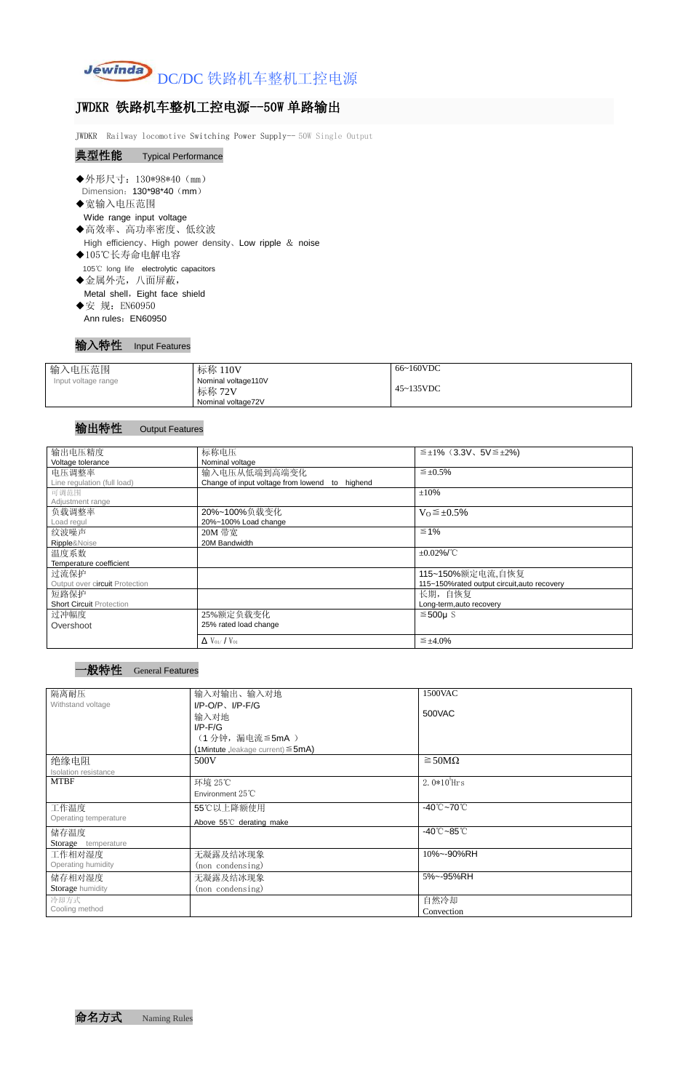

# JWDKR 铁路机车整机工控电源--50W 单路输出

JWDKR Railway locomotive Switching Power Supply-- 50W Single Output

## 典型性能 Typical Performance

- ◆外形尺寸: 130\*98\*40 (mm) Dimension: 130\*98\*40 (mm)
- ◆宽输入电压范围
- Wide range input voltage ◆高效率、高功率密度、低纹波
- High efficiency、High power density、Low ripple & noise
- ◆105℃长寿命电解电容 105℃ long life electrolytic capacitors
- ◆金属外壳,八面屏蔽,

Metal shell, Eight face shield

◆安 规: EN60950 Ann rules: EN60950

#### 输入特性 Input Features

| 输入电压范围              | 标称 110V                                             | 66~160VDC         |
|---------------------|-----------------------------------------------------|-------------------|
| Input voltage range | Nominal voltage110V<br>标称 72V<br>Nominal voltage72V | $45 \sim 135$ VDC |

#### 输出特性 Output Features

命名方式 Naming Rules

| 输出电压精度                          | 标称电压                                           | $\leq \pm 1\%$ (3.3V, 5V $\leq \pm 2\%$ )   |
|---------------------------------|------------------------------------------------|---------------------------------------------|
| Voltage tolerance               | Nominal voltage                                |                                             |
| 电压调整率                           | 输入电压从低端到高端变化                                   | $\leq \pm 0.5\%$                            |
| Line regulation (full load)     | Change of input voltage from lowend to highend |                                             |
| 可调范围                            |                                                | ±10%                                        |
| Adjustment range                |                                                |                                             |
| 负载调整率                           | 20%~100%负载变化                                   | $V_0 \leq \pm 0.5\%$                        |
| Load regul                      | 20%~100% Load change                           |                                             |
| 纹波噪声                            | 20M 带宽                                         | $\leq 1\%$                                  |
| Ripple&Noise                    | 20M Bandwidth                                  |                                             |
| 温度系数                            |                                                | $\pm 0.02\%$ /°C                            |
| Temperature coefficient         |                                                |                                             |
| 过流保护                            |                                                | 115~150%额定电流,自恢复                            |
| Output over circuit Protection  |                                                | 115~150%rated output circuit, auto recovery |
| 短路保护                            |                                                | 长期,自恢复                                      |
| <b>Short Circuit Protection</b> |                                                | Long-term,auto recovery                     |
| 过冲幅度                            | 25%额定负载变化                                      | $≤500µ$ S                                   |
| Overshoot                       | 25% rated load change                          |                                             |
|                                 | $\Delta$ V <sub>01</sub> /V <sub>01</sub>      | $\leq \pm 4.0\%$                            |

#### 一般特性 General Features

| 隔离耐压                  | 输入对输出、输入对地                              | 1500VAC                         |
|-----------------------|-----------------------------------------|---------------------------------|
| Withstand voltage     | $I/P$ -O/P, $I/P$ -F/G                  |                                 |
|                       | 输入对地                                    | 500VAC                          |
|                       | $I/P$ -F/G                              |                                 |
|                       | (1分钟,漏电流≦5mA)                           |                                 |
|                       | (1Mintute, leakage current) $\leq$ 5mA) |                                 |
| 绝缘电阻                  | 500V                                    | $\geq$ 50M $\Omega$             |
| Isolation resistance  |                                         |                                 |
| <b>MTBF</b>           | 环境 25℃                                  | 2.0 $*10^5$ Hrs                 |
|                       | Environment 25°C                        |                                 |
| 工作温度                  | 55℃以上降额使用                               | $-40^{\circ}$ C $-70^{\circ}$ C |
| Operating temperature | Above 55°C derating make                |                                 |
| 储存温度                  |                                         | $-40^{\circ}$ C $-85^{\circ}$ C |
| Storage temperature   |                                         |                                 |
| 工作相对湿度                | 无凝露及结冰现象                                | 10%~-90%RH                      |
| Operating humidity    | (non condensing)                        |                                 |
| 储存相对湿度                | 无凝露及结冰现象                                | 5%~-95%RH                       |
| Storage humidity      | (non condensing)                        |                                 |
| 冷却方式                  |                                         | 自然冷却                            |
| Cooling method        |                                         | Convection                      |